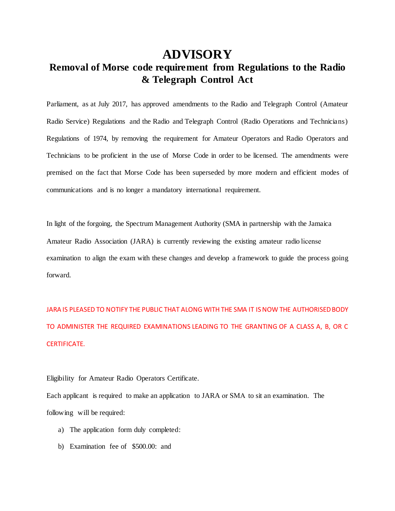## **ADVISORY**

## **Removal of Morse code requirement from Regulations to the Radio & Telegraph Control Act**

Parliament, as at July 2017, has approved amendments to the Radio and Telegraph Control (Amateur Radio Service) Regulations and the Radio and Telegraph Control (Radio Operations and Technicians) Regulations of 1974, by removing the requirement for Amateur Operators and Radio Operators and Technicians to be proficient in the use of Morse Code in order to be licensed. The amendments were premised on the fact that Morse Code has been superseded by more modern and efficient modes of communications and is no longer a mandatory international requirement.

In light of the forgoing, the Spectrum Management Authority (SMA in partnership with the Jamaica Amateur Radio Association (JARA) is currently reviewing the existing amateur radio license examination to align the exam with these changes and develop a framework to guide the process going forward.

JARA IS PLEASED TO NOTIFY THE PUBLIC THAT ALONG WITH THE SMA IT IS NOW THE AUTHORISED BODY TO ADMINISTER THE REQUIRED EXAMINATIONS LEADING TO THE GRANTING OF A CLASS A, B, OR C CERTIFICATE.

Eligibility for Amateur Radio Operators Certificate.

Each applicant is required to make an application to JARA or SMA to sit an examination. The following will be required:

- a) The application form duly completed:
- b) Examination fee of \$500.00: and